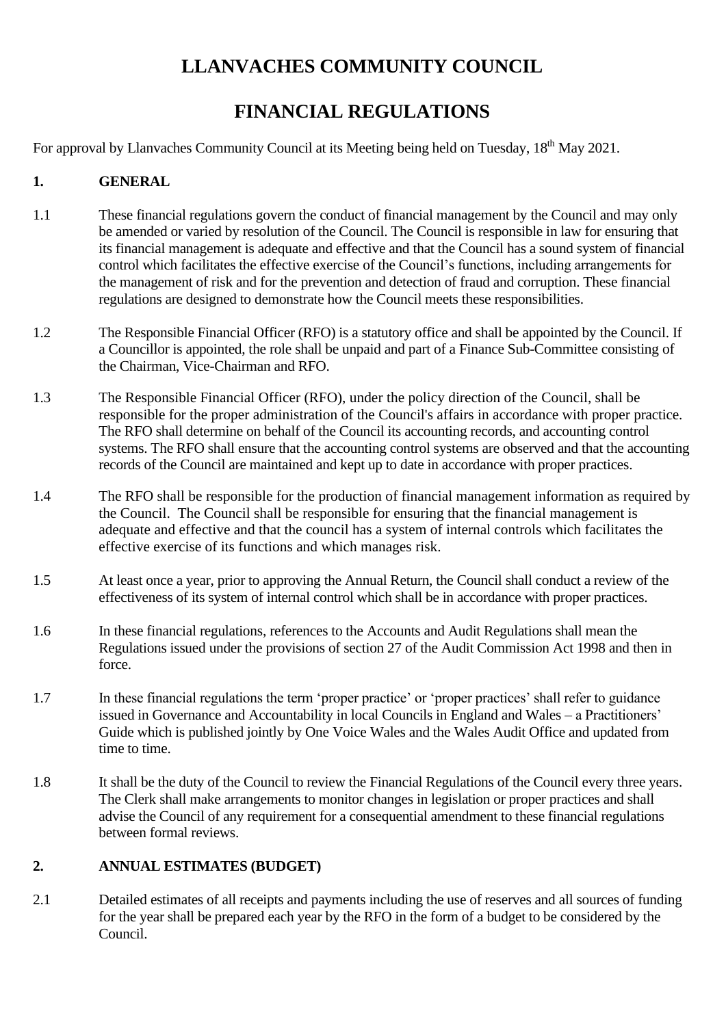# **LLANVACHES COMMUNITY COUNCIL**

# **FINANCIAL REGULATIONS**

For approval by Llanvaches Community Council at its Meeting being held on Tuesday, 18<sup>th</sup> May 2021.

## **1. GENERAL**

- 1.1 These financial regulations govern the conduct of financial management by the Council and may only be amended or varied by resolution of the Council. The Council is responsible in law for ensuring that its financial management is adequate and effective and that the Council has a sound system of financial control which facilitates the effective exercise of the Council's functions, including arrangements for the management of risk and for the prevention and detection of fraud and corruption. These financial regulations are designed to demonstrate how the Council meets these responsibilities.
- 1.2 The Responsible Financial Officer (RFO) is a statutory office and shall be appointed by the Council. If a Councillor is appointed, the role shall be unpaid and part of a Finance Sub-Committee consisting of the Chairman, Vice-Chairman and RFO.
- 1.3 The Responsible Financial Officer (RFO), under the policy direction of the Council, shall be responsible for the proper administration of the Council's affairs in accordance with proper practice. The RFO shall determine on behalf of the Council its accounting records, and accounting control systems. The RFO shall ensure that the accounting control systems are observed and that the accounting records of the Council are maintained and kept up to date in accordance with proper practices.
- 1.4 The RFO shall be responsible for the production of financial management information as required by the Council. The Council shall be responsible for ensuring that the financial management is adequate and effective and that the council has a system of internal controls which facilitates the effective exercise of its functions and which manages risk.
- 1.5 At least once a year, prior to approving the Annual Return, the Council shall conduct a review of the effectiveness of its system of internal control which shall be in accordance with proper practices.
- 1.6 In these financial regulations, references to the Accounts and Audit Regulations shall mean the Regulations issued under the provisions of section 27 of the Audit Commission Act 1998 and then in force.
- 1.7 In these financial regulations the term 'proper practice' or 'proper practices' shall refer to guidance issued in Governance and Accountability in local Councils in England and Wales – a Practitioners' Guide which is published jointly by One Voice Wales and the Wales Audit Office and updated from time to time.
- 1.8 It shall be the duty of the Council to review the Financial Regulations of the Council every three years. The Clerk shall make arrangements to monitor changes in legislation or proper practices and shall advise the Council of any requirement for a consequential amendment to these financial regulations between formal reviews.

# **2. ANNUAL ESTIMATES (BUDGET)**

2.1 Detailed estimates of all receipts and payments including the use of reserves and all sources of funding for the year shall be prepared each year by the RFO in the form of a budget to be considered by the Council.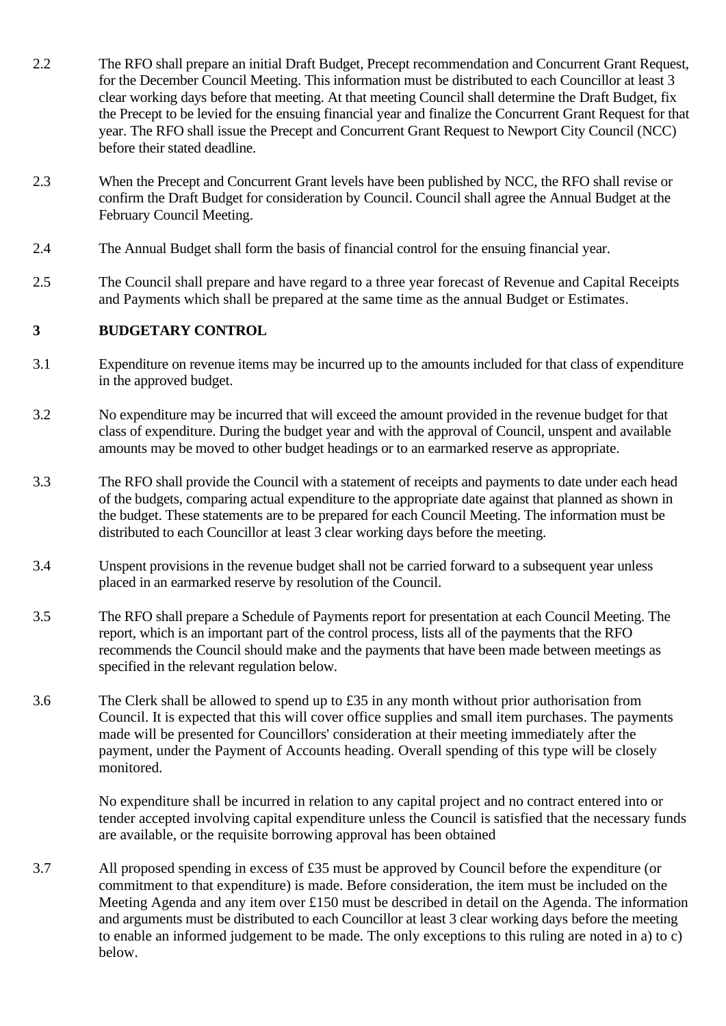- 2.2 The RFO shall prepare an initial Draft Budget, Precept recommendation and Concurrent Grant Request, for the December Council Meeting. This information must be distributed to each Councillor at least 3 clear working days before that meeting. At that meeting Council shall determine the Draft Budget, fix the Precept to be levied for the ensuing financial year and finalize the Concurrent Grant Request for that year. The RFO shall issue the Precept and Concurrent Grant Request to Newport City Council (NCC) before their stated deadline.
- 2.3 When the Precept and Concurrent Grant levels have been published by NCC, the RFO shall revise or confirm the Draft Budget for consideration by Council. Council shall agree the Annual Budget at the February Council Meeting.
- 2.4 The Annual Budget shall form the basis of financial control for the ensuing financial year.
- 2.5 The Council shall prepare and have regard to a three year forecast of Revenue and Capital Receipts and Payments which shall be prepared at the same time as the annual Budget or Estimates.

### **3 BUDGETARY CONTROL**

- 3.1 Expenditure on revenue items may be incurred up to the amounts included for that class of expenditure in the approved budget.
- 3.2 No expenditure may be incurred that will exceed the amount provided in the revenue budget for that class of expenditure. During the budget year and with the approval of Council, unspent and available amounts may be moved to other budget headings or to an earmarked reserve as appropriate.
- 3.3 The RFO shall provide the Council with a statement of receipts and payments to date under each head of the budgets, comparing actual expenditure to the appropriate date against that planned as shown in the budget. These statements are to be prepared for each Council Meeting. The information must be distributed to each Councillor at least 3 clear working days before the meeting.
- 3.4 Unspent provisions in the revenue budget shall not be carried forward to a subsequent year unless placed in an earmarked reserve by resolution of the Council.
- 3.5 The RFO shall prepare a Schedule of Payments report for presentation at each Council Meeting. The report, which is an important part of the control process, lists all of the payments that the RFO recommends the Council should make and the payments that have been made between meetings as specified in the relevant regulation below.
- 3.6 The Clerk shall be allowed to spend up to £35 in any month without prior authorisation from Council. It is expected that this will cover office supplies and small item purchases. The payments made will be presented for Councillors' consideration at their meeting immediately after the payment, under the Payment of Accounts heading. Overall spending of this type will be closely monitored.

No expenditure shall be incurred in relation to any capital project and no contract entered into or tender accepted involving capital expenditure unless the Council is satisfied that the necessary funds are available, or the requisite borrowing approval has been obtained

3.7 All proposed spending in excess of £35 must be approved by Council before the expenditure (or commitment to that expenditure) is made. Before consideration, the item must be included on the Meeting Agenda and any item over £150 must be described in detail on the Agenda. The information and arguments must be distributed to each Councillor at least 3 clear working days before the meeting to enable an informed judgement to be made. The only exceptions to this ruling are noted in a) to c) below.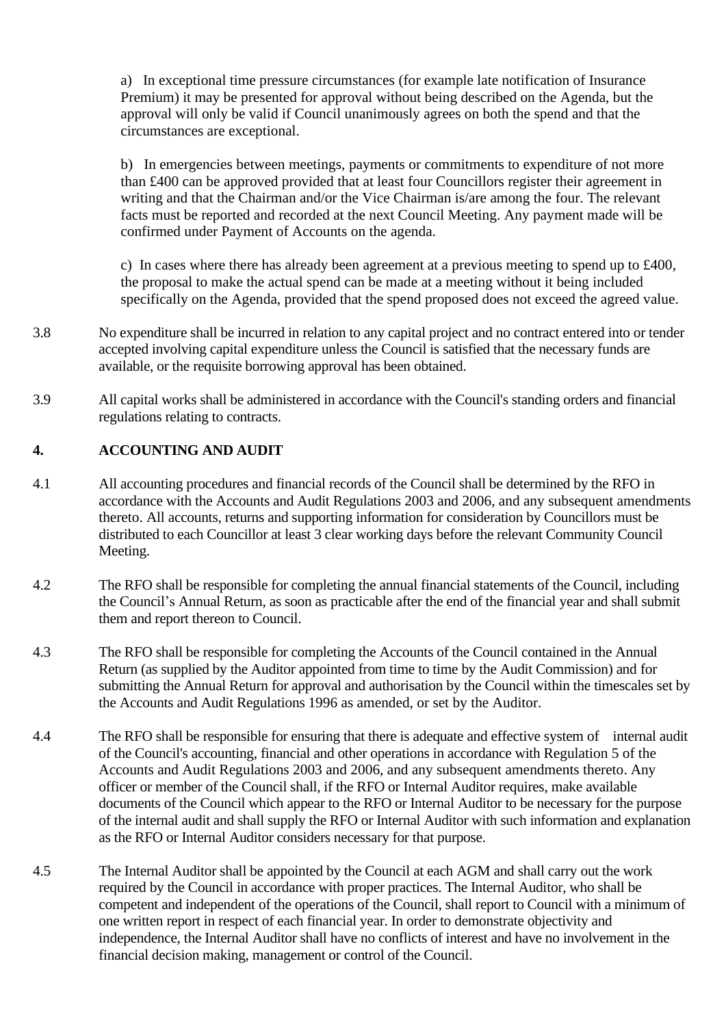a) In exceptional time pressure circumstances (for example late notification of Insurance Premium) it may be presented for approval without being described on the Agenda, but the approval will only be valid if Council unanimously agrees on both the spend and that the circumstances are exceptional.

b) In emergencies between meetings, payments or commitments to expenditure of not more than £400 can be approved provided that at least four Councillors register their agreement in writing and that the Chairman and/or the Vice Chairman is/are among the four. The relevant facts must be reported and recorded at the next Council Meeting. Any payment made will be confirmed under Payment of Accounts on the agenda.

c) In cases where there has already been agreement at a previous meeting to spend up to £400, the proposal to make the actual spend can be made at a meeting without it being included specifically on the Agenda, provided that the spend proposed does not exceed the agreed value.

- 3.8 No expenditure shall be incurred in relation to any capital project and no contract entered into or tender accepted involving capital expenditure unless the Council is satisfied that the necessary funds are available, or the requisite borrowing approval has been obtained.
- 3.9 All capital works shall be administered in accordance with the Council's standing orders and financial regulations relating to contracts.

## **4. ACCOUNTING AND AUDIT**

- 4.1 All accounting procedures and financial records of the Council shall be determined by the RFO in accordance with the Accounts and Audit Regulations 2003 and 2006, and any subsequent amendments thereto. All accounts, returns and supporting information for consideration by Councillors must be distributed to each Councillor at least 3 clear working days before the relevant Community Council Meeting.
- 4.2 The RFO shall be responsible for completing the annual financial statements of the Council, including the Council's Annual Return, as soon as practicable after the end of the financial year and shall submit them and report thereon to Council.
- 4.3 The RFO shall be responsible for completing the Accounts of the Council contained in the Annual Return (as supplied by the Auditor appointed from time to time by the Audit Commission) and for submitting the Annual Return for approval and authorisation by the Council within the timescales set by the Accounts and Audit Regulations 1996 as amended, or set by the Auditor.
- 4.4 The RFO shall be responsible for ensuring that there is adequate and effective system of internal audit of the Council's accounting, financial and other operations in accordance with Regulation 5 of the Accounts and Audit Regulations 2003 and 2006, and any subsequent amendments thereto. Any officer or member of the Council shall, if the RFO or Internal Auditor requires, make available documents of the Council which appear to the RFO or Internal Auditor to be necessary for the purpose of the internal audit and shall supply the RFO or Internal Auditor with such information and explanation as the RFO or Internal Auditor considers necessary for that purpose.
- 4.5 The Internal Auditor shall be appointed by the Council at each AGM and shall carry out the work required by the Council in accordance with proper practices. The Internal Auditor, who shall be competent and independent of the operations of the Council, shall report to Council with a minimum of one written report in respect of each financial year. In order to demonstrate objectivity and independence, the Internal Auditor shall have no conflicts of interest and have no involvement in the financial decision making, management or control of the Council.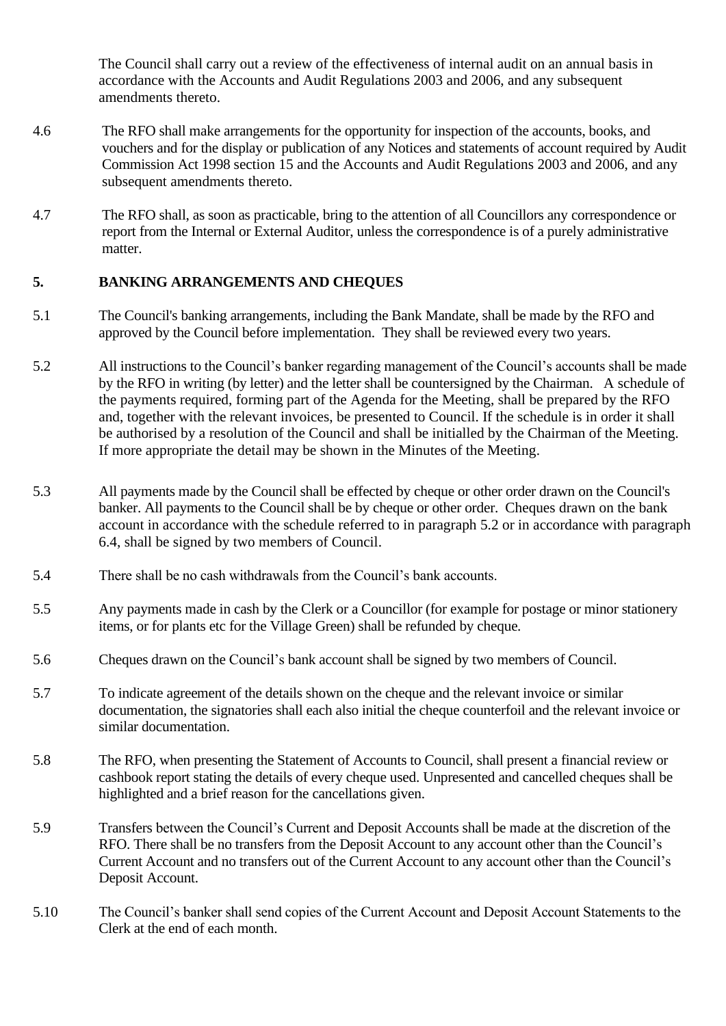The Council shall carry out a review of the effectiveness of internal audit on an annual basis in accordance with the Accounts and Audit Regulations 2003 and 2006, and any subsequent amendments thereto.

- 4.6 The RFO shall make arrangements for the opportunity for inspection of the accounts, books, and vouchers and for the display or publication of any Notices and statements of account required by Audit Commission Act 1998 section 15 and the Accounts and Audit Regulations 2003 and 2006, and any subsequent amendments thereto.
- 4.7 The RFO shall, as soon as practicable, bring to the attention of all Councillors any correspondence or report from the Internal or External Auditor, unless the correspondence is of a purely administrative matter.

### **5. BANKING ARRANGEMENTS AND CHEQUES**

- 5.1 The Council's banking arrangements, including the Bank Mandate, shall be made by the RFO and approved by the Council before implementation. They shall be reviewed every two years.
- 5.2 All instructions to the Council's banker regarding management of the Council's accounts shall be made by the RFO in writing (by letter) and the letter shall be countersigned by the Chairman. A schedule of the payments required, forming part of the Agenda for the Meeting, shall be prepared by the RFO and, together with the relevant invoices, be presented to Council. If the schedule is in order it shall be authorised by a resolution of the Council and shall be initialled by the Chairman of the Meeting. If more appropriate the detail may be shown in the Minutes of the Meeting.
- 5.3 All payments made by the Council shall be effected by cheque or other order drawn on the Council's banker. All payments to the Council shall be by cheque or other order. Cheques drawn on the bank account in accordance with the schedule referred to in paragraph 5.2 or in accordance with paragraph 6.4, shall be signed by two members of Council.
- 5.4 There shall be no cash withdrawals from the Council's bank accounts.
- 5.5 Any payments made in cash by the Clerk or a Councillor (for example for postage or minor stationery items, or for plants etc for the Village Green) shall be refunded by cheque.
- 5.6 Cheques drawn on the Council's bank account shall be signed by two members of Council.
- 5.7 To indicate agreement of the details shown on the cheque and the relevant invoice or similar documentation, the signatories shall each also initial the cheque counterfoil and the relevant invoice or similar documentation.
- 5.8 The RFO, when presenting the Statement of Accounts to Council, shall present a financial review or cashbook report stating the details of every cheque used. Unpresented and cancelled cheques shall be highlighted and a brief reason for the cancellations given.
- 5.9 Transfers between the Council's Current and Deposit Accounts shall be made at the discretion of the RFO. There shall be no transfers from the Deposit Account to any account other than the Council's Current Account and no transfers out of the Current Account to any account other than the Council's Deposit Account.
- 5.10 The Council's banker shall send copies of the Current Account and Deposit Account Statements to the Clerk at the end of each month.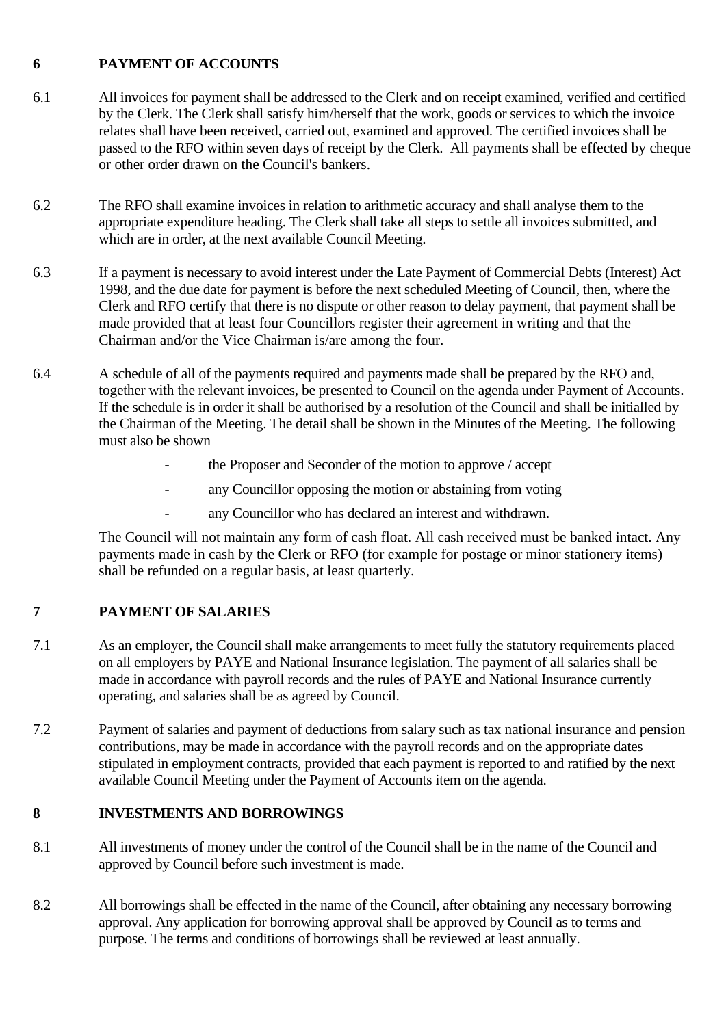## **6 PAYMENT OF ACCOUNTS**

- 6.1 All invoices for payment shall be addressed to the Clerk and on receipt examined, verified and certified by the Clerk. The Clerk shall satisfy him/herself that the work, goods or services to which the invoice relates shall have been received, carried out, examined and approved. The certified invoices shall be passed to the RFO within seven days of receipt by the Clerk. All payments shall be effected by cheque or other order drawn on the Council's bankers.
- 6.2 The RFO shall examine invoices in relation to arithmetic accuracy and shall analyse them to the appropriate expenditure heading. The Clerk shall take all steps to settle all invoices submitted, and which are in order, at the next available Council Meeting.
- 6.3 If a payment is necessary to avoid interest under the Late Payment of Commercial Debts (Interest) Act 1998, and the due date for payment is before the next scheduled Meeting of Council, then, where the Clerk and RFO certify that there is no dispute or other reason to delay payment, that payment shall be made provided that at least four Councillors register their agreement in writing and that the Chairman and/or the Vice Chairman is/are among the four.
- 6.4 A schedule of all of the payments required and payments made shall be prepared by the RFO and, together with the relevant invoices, be presented to Council on the agenda under Payment of Accounts. If the schedule is in order it shall be authorised by a resolution of the Council and shall be initialled by the Chairman of the Meeting. The detail shall be shown in the Minutes of the Meeting. The following must also be shown
	- the Proposer and Seconder of the motion to approve / accept
	- any Councillor opposing the motion or abstaining from voting
	- any Councillor who has declared an interest and withdrawn.

The Council will not maintain any form of cash float. All cash received must be banked intact. Any payments made in cash by the Clerk or RFO (for example for postage or minor stationery items) shall be refunded on a regular basis, at least quarterly.

# **7 PAYMENT OF SALARIES**

- 7.1 As an employer, the Council shall make arrangements to meet fully the statutory requirements placed on all employers by PAYE and National Insurance legislation. The payment of all salaries shall be made in accordance with payroll records and the rules of PAYE and National Insurance currently operating, and salaries shall be as agreed by Council.
- 7.2 Payment of salaries and payment of deductions from salary such as tax national insurance and pension contributions, may be made in accordance with the payroll records and on the appropriate dates stipulated in employment contracts, provided that each payment is reported to and ratified by the next available Council Meeting under the Payment of Accounts item on the agenda.

# **8 INVESTMENTS AND BORROWINGS**

- 8.1 All investments of money under the control of the Council shall be in the name of the Council and approved by Council before such investment is made.
- 8.2 All borrowings shall be effected in the name of the Council, after obtaining any necessary borrowing approval. Any application for borrowing approval shall be approved by Council as to terms and purpose. The terms and conditions of borrowings shall be reviewed at least annually.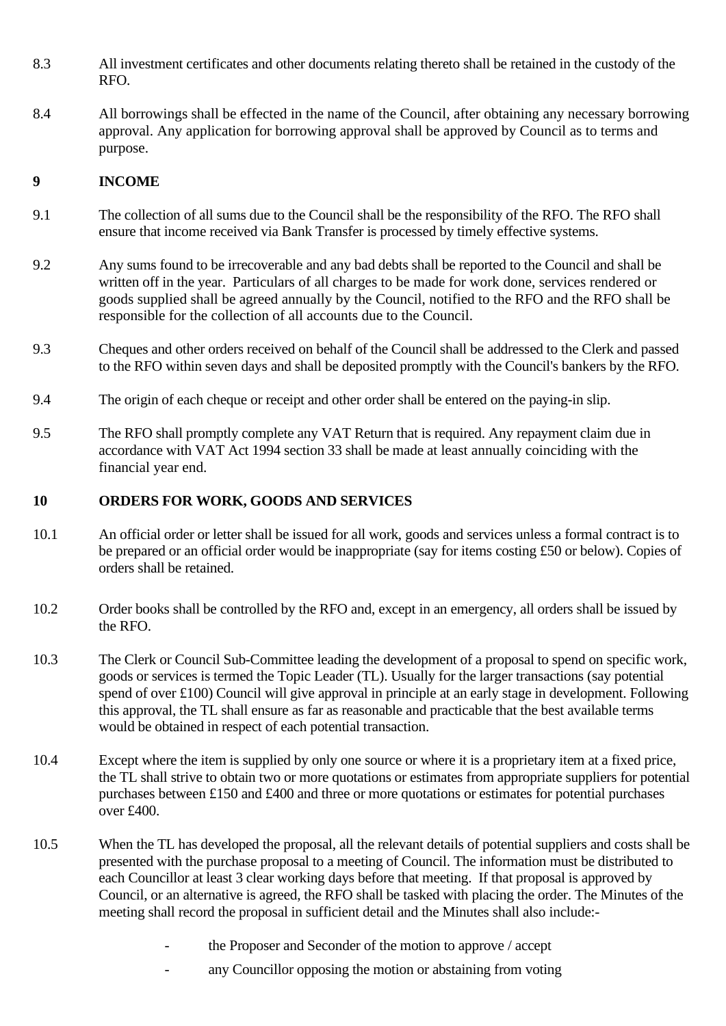- 8.3 All investment certificates and other documents relating thereto shall be retained in the custody of the RFO.
- 8.4 All borrowings shall be effected in the name of the Council, after obtaining any necessary borrowing approval. Any application for borrowing approval shall be approved by Council as to terms and purpose.

### **9 INCOME**

- 9.1 The collection of all sums due to the Council shall be the responsibility of the RFO. The RFO shall ensure that income received via Bank Transfer is processed by timely effective systems.
- 9.2 Any sums found to be irrecoverable and any bad debts shall be reported to the Council and shall be written off in the year. Particulars of all charges to be made for work done, services rendered or goods supplied shall be agreed annually by the Council, notified to the RFO and the RFO shall be responsible for the collection of all accounts due to the Council.
- 9.3 Cheques and other orders received on behalf of the Council shall be addressed to the Clerk and passed to the RFO within seven days and shall be deposited promptly with the Council's bankers by the RFO.
- 9.4 The origin of each cheque or receipt and other order shall be entered on the paying-in slip.
- 9.5 The RFO shall promptly complete any VAT Return that is required. Any repayment claim due in accordance with VAT Act 1994 section 33 shall be made at least annually coinciding with the financial year end.

### **10 ORDERS FOR WORK, GOODS AND SERVICES**

- 10.1 An official order or letter shall be issued for all work, goods and services unless a formal contract is to be prepared or an official order would be inappropriate (say for items costing £50 or below). Copies of orders shall be retained.
- 10.2 Order books shall be controlled by the RFO and, except in an emergency, all orders shall be issued by the RFO.
- 10.3 The Clerk or Council Sub-Committee leading the development of a proposal to spend on specific work, goods or services is termed the Topic Leader (TL). Usually for the larger transactions (say potential spend of over £100) Council will give approval in principle at an early stage in development. Following this approval, the TL shall ensure as far as reasonable and practicable that the best available terms would be obtained in respect of each potential transaction.
- 10.4 Except where the item is supplied by only one source or where it is a proprietary item at a fixed price, the TL shall strive to obtain two or more quotations or estimates from appropriate suppliers for potential purchases between £150 and £400 and three or more quotations or estimates for potential purchases over £400.
- 10.5 When the TL has developed the proposal, all the relevant details of potential suppliers and costs shall be presented with the purchase proposal to a meeting of Council. The information must be distributed to each Councillor at least 3 clear working days before that meeting. If that proposal is approved by Council, or an alternative is agreed, the RFO shall be tasked with placing the order. The Minutes of the meeting shall record the proposal in sufficient detail and the Minutes shall also include:
	- the Proposer and Seconder of the motion to approve / accept
	- any Councillor opposing the motion or abstaining from voting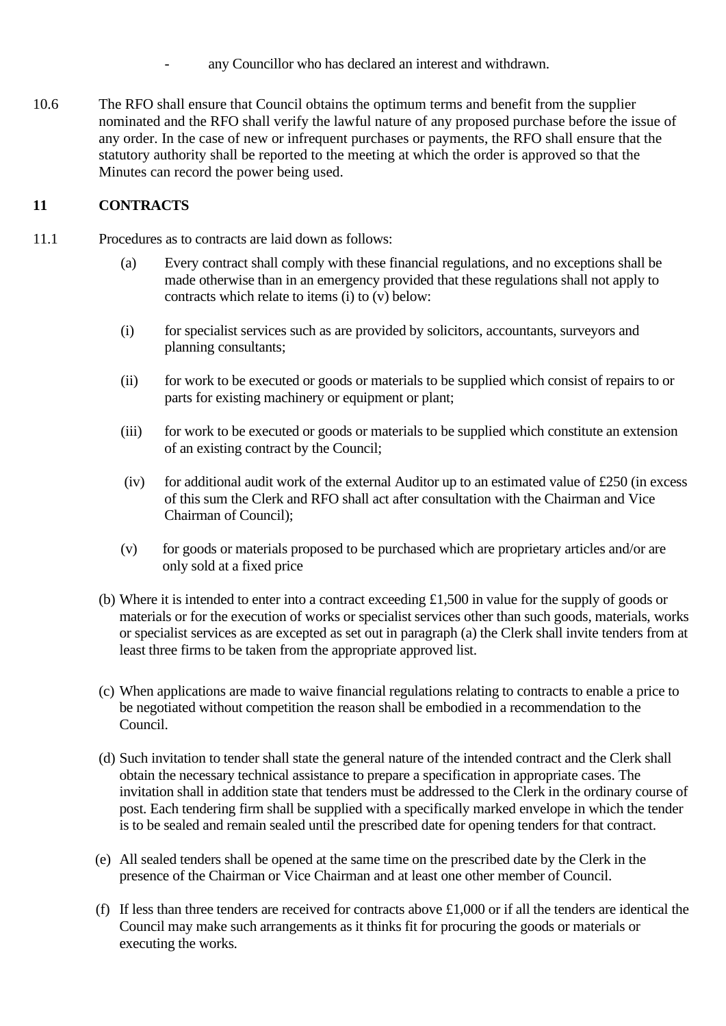- any Councillor who has declared an interest and withdrawn.
- 10.6 The RFO shall ensure that Council obtains the optimum terms and benefit from the supplier nominated and the RFO shall verify the lawful nature of any proposed purchase before the issue of any order. In the case of new or infrequent purchases or payments, the RFO shall ensure that the statutory authority shall be reported to the meeting at which the order is approved so that the Minutes can record the power being used.

## **11 CONTRACTS**

- 11.1 Procedures as to contracts are laid down as follows:
	- (a) Every contract shall comply with these financial regulations, and no exceptions shall be made otherwise than in an emergency provided that these regulations shall not apply to contracts which relate to items (i) to (v) below:
	- (i) for specialist services such as are provided by solicitors, accountants, surveyors and planning consultants;
	- (ii) for work to be executed or goods or materials to be supplied which consist of repairs to or parts for existing machinery or equipment or plant;
	- (iii) for work to be executed or goods or materials to be supplied which constitute an extension of an existing contract by the Council;
	- (iv) for additional audit work of the external Auditor up to an estimated value of  $\text{\pounds}250$  (in excess of this sum the Clerk and RFO shall act after consultation with the Chairman and Vice Chairman of Council);
	- (v) for goods or materials proposed to be purchased which are proprietary articles and/or are only sold at a fixed price
	- (b) Where it is intended to enter into a contract exceeding £1,500 in value for the supply of goods or materials or for the execution of works or specialist services other than such goods, materials, works or specialist services as are excepted as set out in paragraph (a) the Clerk shall invite tenders from at least three firms to be taken from the appropriate approved list.
	- (c) When applications are made to waive financial regulations relating to contracts to enable a price to be negotiated without competition the reason shall be embodied in a recommendation to the Council.
	- (d) Such invitation to tender shall state the general nature of the intended contract and the Clerk shall obtain the necessary technical assistance to prepare a specification in appropriate cases. The invitation shall in addition state that tenders must be addressed to the Clerk in the ordinary course of post. Each tendering firm shall be supplied with a specifically marked envelope in which the tender is to be sealed and remain sealed until the prescribed date for opening tenders for that contract.
	- (e) All sealed tenders shall be opened at the same time on the prescribed date by the Clerk in the presence of the Chairman or Vice Chairman and at least one other member of Council.
	- (f) If less than three tenders are received for contracts above £1,000 or if all the tenders are identical the Council may make such arrangements as it thinks fit for procuring the goods or materials or executing the works.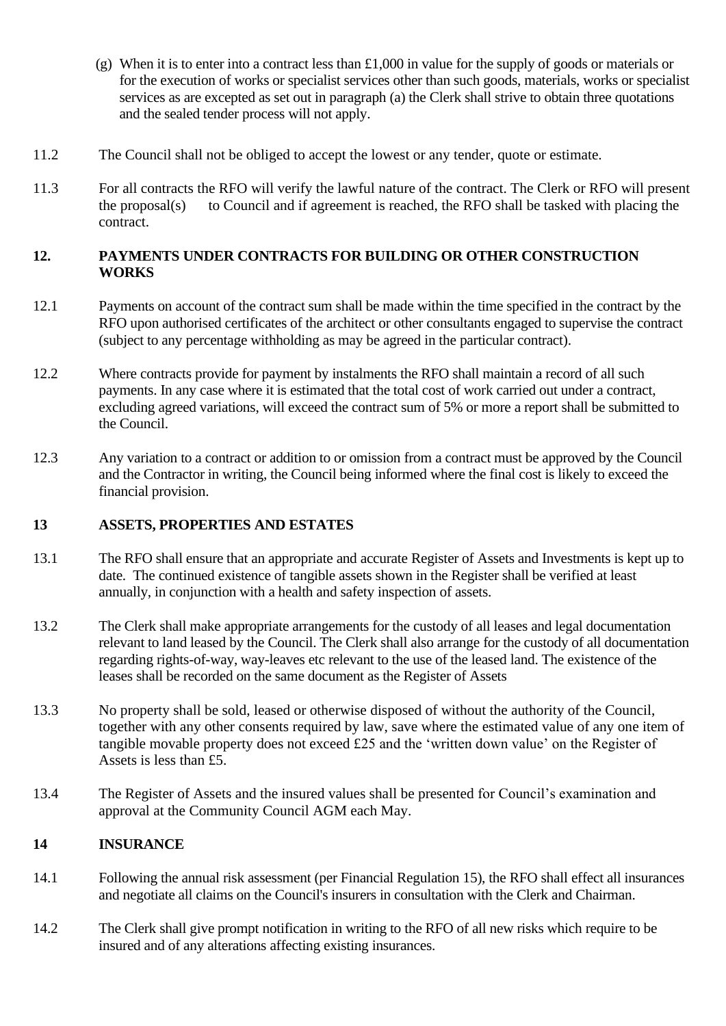- (g) When it is to enter into a contract less than  $\pounds 1,000$  in value for the supply of goods or materials or for the execution of works or specialist services other than such goods, materials, works or specialist services as are excepted as set out in paragraph (a) the Clerk shall strive to obtain three quotations and the sealed tender process will not apply.
- 11.2 The Council shall not be obliged to accept the lowest or any tender, quote or estimate.
- 11.3 For all contracts the RFO will verify the lawful nature of the contract. The Clerk or RFO will present the proposal(s) to Council and if agreement is reached, the RFO shall be tasked with placing the contract.

## **12. PAYMENTS UNDER CONTRACTS FOR BUILDING OR OTHER CONSTRUCTION WORKS**

- 12.1 Payments on account of the contract sum shall be made within the time specified in the contract by the RFO upon authorised certificates of the architect or other consultants engaged to supervise the contract (subject to any percentage withholding as may be agreed in the particular contract).
- 12.2 Where contracts provide for payment by instalments the RFO shall maintain a record of all such payments. In any case where it is estimated that the total cost of work carried out under a contract, excluding agreed variations, will exceed the contract sum of 5% or more a report shall be submitted to the Council.
- 12.3 Any variation to a contract or addition to or omission from a contract must be approved by the Council and the Contractor in writing, the Council being informed where the final cost is likely to exceed the financial provision.

# **13 ASSETS, PROPERTIES AND ESTATES**

- 13.1 The RFO shall ensure that an appropriate and accurate Register of Assets and Investments is kept up to date. The continued existence of tangible assets shown in the Register shall be verified at least annually, in conjunction with a health and safety inspection of assets.
- 13.2 The Clerk shall make appropriate arrangements for the custody of all leases and legal documentation relevant to land leased by the Council. The Clerk shall also arrange for the custody of all documentation regarding rights-of-way, way-leaves etc relevant to the use of the leased land. The existence of the leases shall be recorded on the same document as the Register of Assets
- 13.3 No property shall be sold, leased or otherwise disposed of without the authority of the Council, together with any other consents required by law, save where the estimated value of any one item of tangible movable property does not exceed £25 and the 'written down value' on the Register of Assets is less than £5.
- 13.4 The Register of Assets and the insured values shall be presented for Council's examination and approval at the Community Council AGM each May.

# **14 INSURANCE**

- 14.1 Following the annual risk assessment (per Financial Regulation 15), the RFO shall effect all insurances and negotiate all claims on the Council's insurers in consultation with the Clerk and Chairman.
- 14.2 The Clerk shall give prompt notification in writing to the RFO of all new risks which require to be insured and of any alterations affecting existing insurances.